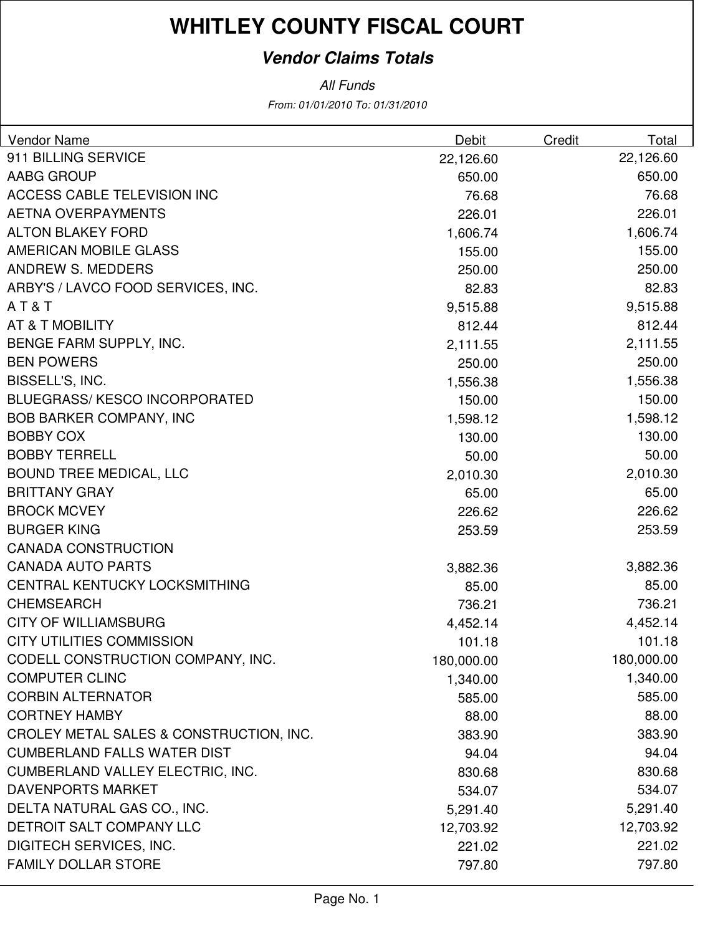### **Vendor Claims Totals**

| Vendor Name                             | Debit      | Credit | Total      |
|-----------------------------------------|------------|--------|------------|
| 911 BILLING SERVICE                     | 22,126.60  |        | 22,126.60  |
| AABG GROUP                              | 650.00     |        | 650.00     |
| <b>ACCESS CABLE TELEVISION INC</b>      | 76.68      |        | 76.68      |
| <b>AETNA OVERPAYMENTS</b>               | 226.01     |        | 226.01     |
| <b>ALTON BLAKEY FORD</b>                | 1,606.74   |        | 1,606.74   |
| <b>AMERICAN MOBILE GLASS</b>            | 155.00     |        | 155.00     |
| <b>ANDREW S. MEDDERS</b>                | 250.00     |        | 250.00     |
| ARBY'S / LAVCO FOOD SERVICES, INC.      | 82.83      |        | 82.83      |
| AT&T                                    | 9,515.88   |        | 9,515.88   |
| AT & T MOBILITY                         | 812.44     |        | 812.44     |
| BENGE FARM SUPPLY, INC.                 | 2,111.55   |        | 2,111.55   |
| <b>BEN POWERS</b>                       | 250.00     |        | 250.00     |
| BISSELL'S, INC.                         | 1,556.38   |        | 1,556.38   |
| <b>BLUEGRASS/KESCO INCORPORATED</b>     | 150.00     |        | 150.00     |
| <b>BOB BARKER COMPANY, INC</b>          | 1,598.12   |        | 1,598.12   |
| <b>BOBBY COX</b>                        | 130.00     |        | 130.00     |
| <b>BOBBY TERRELL</b>                    | 50.00      |        | 50.00      |
| <b>BOUND TREE MEDICAL, LLC</b>          | 2,010.30   |        | 2,010.30   |
| <b>BRITTANY GRAY</b>                    | 65.00      |        | 65.00      |
| <b>BROCK MCVEY</b>                      | 226.62     |        | 226.62     |
| <b>BURGER KING</b>                      | 253.59     |        | 253.59     |
| <b>CANADA CONSTRUCTION</b>              |            |        |            |
| <b>CANADA AUTO PARTS</b>                | 3,882.36   |        | 3,882.36   |
| CENTRAL KENTUCKY LOCKSMITHING           | 85.00      |        | 85.00      |
| <b>CHEMSEARCH</b>                       | 736.21     |        | 736.21     |
| <b>CITY OF WILLIAMSBURG</b>             | 4,452.14   |        | 4,452.14   |
| <b>CITY UTILITIES COMMISSION</b>        | 101.18     |        | 101.18     |
| CODELL CONSTRUCTION COMPANY, INC.       | 180,000.00 |        | 180,000.00 |
| <b>COMPUTER CLINC</b>                   | 1,340.00   |        | 1,340.00   |
| <b>CORBIN ALTERNATOR</b>                | 585.00     |        | 585.00     |
| <b>CORTNEY HAMBY</b>                    | 88.00      |        | 88.00      |
| CROLEY METAL SALES & CONSTRUCTION, INC. | 383.90     |        | 383.90     |
| <b>CUMBERLAND FALLS WATER DIST</b>      | 94.04      |        | 94.04      |
| <b>CUMBERLAND VALLEY ELECTRIC, INC.</b> | 830.68     |        | 830.68     |
| <b>DAVENPORTS MARKET</b>                | 534.07     |        | 534.07     |
| DELTA NATURAL GAS CO., INC.             | 5,291.40   |        | 5,291.40   |
| DETROIT SALT COMPANY LLC                | 12,703.92  |        | 12,703.92  |
| <b>DIGITECH SERVICES, INC.</b>          | 221.02     |        | 221.02     |
| <b>FAMILY DOLLAR STORE</b>              | 797.80     |        | 797.80     |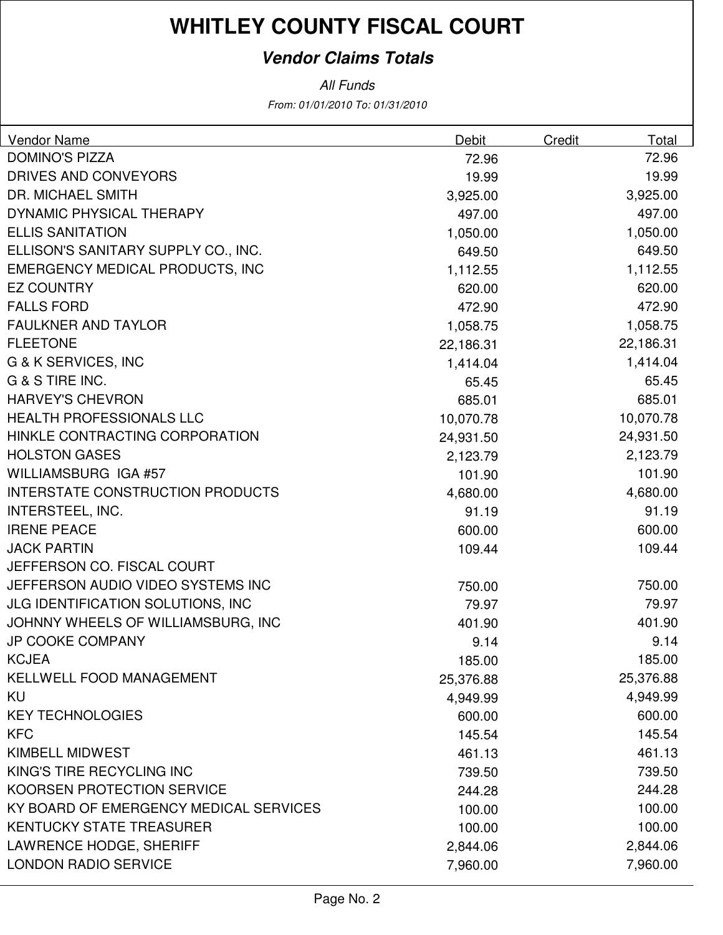### **Vendor Claims Totals**

| <b>DOMINO'S PIZZA</b><br>72.96<br>72.96<br>DRIVES AND CONVEYORS<br>19.99<br>19.99<br><b>DR. MICHAEL SMITH</b><br>3,925.00<br>3,925.00<br>DYNAMIC PHYSICAL THERAPY<br>497.00<br>497.00<br><b>ELLIS SANITATION</b><br>1,050.00<br>1,050.00<br>ELLISON'S SANITARY SUPPLY CO., INC.<br>649.50<br>649.50<br><b>EMERGENCY MEDICAL PRODUCTS, INC</b><br>1,112.55<br>1,112.55<br><b>EZ COUNTRY</b><br>620.00<br>620.00<br><b>FALLS FORD</b><br>472.90<br>472.90<br><b>FAULKNER AND TAYLOR</b><br>1,058.75<br>1,058.75<br><b>FLEETONE</b><br>22,186.31<br>22,186.31<br>G & K SERVICES, INC<br>1,414.04<br>1,414.04<br>G & S TIRE INC.<br>65.45<br>65.45<br><b>HARVEY'S CHEVRON</b><br>685.01<br>685.01<br><b>HEALTH PROFESSIONALS LLC</b><br>10,070.78<br>10,070.78<br>HINKLE CONTRACTING CORPORATION<br>24,931.50<br>24,931.50<br><b>HOLSTON GASES</b><br>2,123.79<br>2,123.79<br>WILLIAMSBURG IGA #57<br>101.90<br>101.90<br><b>INTERSTATE CONSTRUCTION PRODUCTS</b><br>4,680.00<br>4,680.00<br><b>INTERSTEEL, INC.</b><br>91.19<br>91.19<br><b>IRENE PEACE</b><br>600.00<br>600.00<br><b>JACK PARTIN</b><br>109.44<br>109.44<br>JEFFERSON CO. FISCAL COURT<br>JEFFERSON AUDIO VIDEO SYSTEMS INC<br>750.00<br>750.00<br>JLG IDENTIFICATION SOLUTIONS, INC<br>79.97<br>79.97<br>JOHNNY WHEELS OF WILLIAMSBURG, INC<br>401.90<br>401.90<br><b>JP COOKE COMPANY</b><br>9.14<br>9.14<br><b>KCJEA</b><br>185.00<br>185.00<br>KELLWELL FOOD MANAGEMENT<br>25,376.88<br>25,376.88<br>KU<br>4,949.99<br>4,949.99<br><b>KEY TECHNOLOGIES</b><br>600.00<br>600.00<br><b>KFC</b><br>145.54<br>145.54<br><b>KIMBELL MIDWEST</b><br>461.13<br>461.13<br>KING'S TIRE RECYCLING INC<br>739.50<br>739.50<br>KOORSEN PROTECTION SERVICE | <b>Vendor Name</b> | Debit  | Credit | Total  |
|-----------------------------------------------------------------------------------------------------------------------------------------------------------------------------------------------------------------------------------------------------------------------------------------------------------------------------------------------------------------------------------------------------------------------------------------------------------------------------------------------------------------------------------------------------------------------------------------------------------------------------------------------------------------------------------------------------------------------------------------------------------------------------------------------------------------------------------------------------------------------------------------------------------------------------------------------------------------------------------------------------------------------------------------------------------------------------------------------------------------------------------------------------------------------------------------------------------------------------------------------------------------------------------------------------------------------------------------------------------------------------------------------------------------------------------------------------------------------------------------------------------------------------------------------------------------------------------------------------------------------------------------------------------------------------------------------------------------|--------------------|--------|--------|--------|
|                                                                                                                                                                                                                                                                                                                                                                                                                                                                                                                                                                                                                                                                                                                                                                                                                                                                                                                                                                                                                                                                                                                                                                                                                                                                                                                                                                                                                                                                                                                                                                                                                                                                                                                 |                    |        |        |        |
|                                                                                                                                                                                                                                                                                                                                                                                                                                                                                                                                                                                                                                                                                                                                                                                                                                                                                                                                                                                                                                                                                                                                                                                                                                                                                                                                                                                                                                                                                                                                                                                                                                                                                                                 |                    |        |        |        |
|                                                                                                                                                                                                                                                                                                                                                                                                                                                                                                                                                                                                                                                                                                                                                                                                                                                                                                                                                                                                                                                                                                                                                                                                                                                                                                                                                                                                                                                                                                                                                                                                                                                                                                                 |                    |        |        |        |
|                                                                                                                                                                                                                                                                                                                                                                                                                                                                                                                                                                                                                                                                                                                                                                                                                                                                                                                                                                                                                                                                                                                                                                                                                                                                                                                                                                                                                                                                                                                                                                                                                                                                                                                 |                    |        |        |        |
|                                                                                                                                                                                                                                                                                                                                                                                                                                                                                                                                                                                                                                                                                                                                                                                                                                                                                                                                                                                                                                                                                                                                                                                                                                                                                                                                                                                                                                                                                                                                                                                                                                                                                                                 |                    |        |        |        |
|                                                                                                                                                                                                                                                                                                                                                                                                                                                                                                                                                                                                                                                                                                                                                                                                                                                                                                                                                                                                                                                                                                                                                                                                                                                                                                                                                                                                                                                                                                                                                                                                                                                                                                                 |                    |        |        |        |
|                                                                                                                                                                                                                                                                                                                                                                                                                                                                                                                                                                                                                                                                                                                                                                                                                                                                                                                                                                                                                                                                                                                                                                                                                                                                                                                                                                                                                                                                                                                                                                                                                                                                                                                 |                    |        |        |        |
|                                                                                                                                                                                                                                                                                                                                                                                                                                                                                                                                                                                                                                                                                                                                                                                                                                                                                                                                                                                                                                                                                                                                                                                                                                                                                                                                                                                                                                                                                                                                                                                                                                                                                                                 |                    |        |        |        |
|                                                                                                                                                                                                                                                                                                                                                                                                                                                                                                                                                                                                                                                                                                                                                                                                                                                                                                                                                                                                                                                                                                                                                                                                                                                                                                                                                                                                                                                                                                                                                                                                                                                                                                                 |                    |        |        |        |
|                                                                                                                                                                                                                                                                                                                                                                                                                                                                                                                                                                                                                                                                                                                                                                                                                                                                                                                                                                                                                                                                                                                                                                                                                                                                                                                                                                                                                                                                                                                                                                                                                                                                                                                 |                    |        |        |        |
|                                                                                                                                                                                                                                                                                                                                                                                                                                                                                                                                                                                                                                                                                                                                                                                                                                                                                                                                                                                                                                                                                                                                                                                                                                                                                                                                                                                                                                                                                                                                                                                                                                                                                                                 |                    |        |        |        |
|                                                                                                                                                                                                                                                                                                                                                                                                                                                                                                                                                                                                                                                                                                                                                                                                                                                                                                                                                                                                                                                                                                                                                                                                                                                                                                                                                                                                                                                                                                                                                                                                                                                                                                                 |                    |        |        |        |
|                                                                                                                                                                                                                                                                                                                                                                                                                                                                                                                                                                                                                                                                                                                                                                                                                                                                                                                                                                                                                                                                                                                                                                                                                                                                                                                                                                                                                                                                                                                                                                                                                                                                                                                 |                    |        |        |        |
|                                                                                                                                                                                                                                                                                                                                                                                                                                                                                                                                                                                                                                                                                                                                                                                                                                                                                                                                                                                                                                                                                                                                                                                                                                                                                                                                                                                                                                                                                                                                                                                                                                                                                                                 |                    |        |        |        |
|                                                                                                                                                                                                                                                                                                                                                                                                                                                                                                                                                                                                                                                                                                                                                                                                                                                                                                                                                                                                                                                                                                                                                                                                                                                                                                                                                                                                                                                                                                                                                                                                                                                                                                                 |                    |        |        |        |
|                                                                                                                                                                                                                                                                                                                                                                                                                                                                                                                                                                                                                                                                                                                                                                                                                                                                                                                                                                                                                                                                                                                                                                                                                                                                                                                                                                                                                                                                                                                                                                                                                                                                                                                 |                    |        |        |        |
|                                                                                                                                                                                                                                                                                                                                                                                                                                                                                                                                                                                                                                                                                                                                                                                                                                                                                                                                                                                                                                                                                                                                                                                                                                                                                                                                                                                                                                                                                                                                                                                                                                                                                                                 |                    |        |        |        |
|                                                                                                                                                                                                                                                                                                                                                                                                                                                                                                                                                                                                                                                                                                                                                                                                                                                                                                                                                                                                                                                                                                                                                                                                                                                                                                                                                                                                                                                                                                                                                                                                                                                                                                                 |                    |        |        |        |
|                                                                                                                                                                                                                                                                                                                                                                                                                                                                                                                                                                                                                                                                                                                                                                                                                                                                                                                                                                                                                                                                                                                                                                                                                                                                                                                                                                                                                                                                                                                                                                                                                                                                                                                 |                    |        |        |        |
|                                                                                                                                                                                                                                                                                                                                                                                                                                                                                                                                                                                                                                                                                                                                                                                                                                                                                                                                                                                                                                                                                                                                                                                                                                                                                                                                                                                                                                                                                                                                                                                                                                                                                                                 |                    |        |        |        |
|                                                                                                                                                                                                                                                                                                                                                                                                                                                                                                                                                                                                                                                                                                                                                                                                                                                                                                                                                                                                                                                                                                                                                                                                                                                                                                                                                                                                                                                                                                                                                                                                                                                                                                                 |                    |        |        |        |
|                                                                                                                                                                                                                                                                                                                                                                                                                                                                                                                                                                                                                                                                                                                                                                                                                                                                                                                                                                                                                                                                                                                                                                                                                                                                                                                                                                                                                                                                                                                                                                                                                                                                                                                 |                    |        |        |        |
|                                                                                                                                                                                                                                                                                                                                                                                                                                                                                                                                                                                                                                                                                                                                                                                                                                                                                                                                                                                                                                                                                                                                                                                                                                                                                                                                                                                                                                                                                                                                                                                                                                                                                                                 |                    |        |        |        |
|                                                                                                                                                                                                                                                                                                                                                                                                                                                                                                                                                                                                                                                                                                                                                                                                                                                                                                                                                                                                                                                                                                                                                                                                                                                                                                                                                                                                                                                                                                                                                                                                                                                                                                                 |                    |        |        |        |
|                                                                                                                                                                                                                                                                                                                                                                                                                                                                                                                                                                                                                                                                                                                                                                                                                                                                                                                                                                                                                                                                                                                                                                                                                                                                                                                                                                                                                                                                                                                                                                                                                                                                                                                 |                    |        |        |        |
|                                                                                                                                                                                                                                                                                                                                                                                                                                                                                                                                                                                                                                                                                                                                                                                                                                                                                                                                                                                                                                                                                                                                                                                                                                                                                                                                                                                                                                                                                                                                                                                                                                                                                                                 |                    |        |        |        |
|                                                                                                                                                                                                                                                                                                                                                                                                                                                                                                                                                                                                                                                                                                                                                                                                                                                                                                                                                                                                                                                                                                                                                                                                                                                                                                                                                                                                                                                                                                                                                                                                                                                                                                                 |                    |        |        |        |
|                                                                                                                                                                                                                                                                                                                                                                                                                                                                                                                                                                                                                                                                                                                                                                                                                                                                                                                                                                                                                                                                                                                                                                                                                                                                                                                                                                                                                                                                                                                                                                                                                                                                                                                 |                    |        |        |        |
|                                                                                                                                                                                                                                                                                                                                                                                                                                                                                                                                                                                                                                                                                                                                                                                                                                                                                                                                                                                                                                                                                                                                                                                                                                                                                                                                                                                                                                                                                                                                                                                                                                                                                                                 |                    |        |        |        |
|                                                                                                                                                                                                                                                                                                                                                                                                                                                                                                                                                                                                                                                                                                                                                                                                                                                                                                                                                                                                                                                                                                                                                                                                                                                                                                                                                                                                                                                                                                                                                                                                                                                                                                                 |                    |        |        |        |
|                                                                                                                                                                                                                                                                                                                                                                                                                                                                                                                                                                                                                                                                                                                                                                                                                                                                                                                                                                                                                                                                                                                                                                                                                                                                                                                                                                                                                                                                                                                                                                                                                                                                                                                 |                    |        |        |        |
|                                                                                                                                                                                                                                                                                                                                                                                                                                                                                                                                                                                                                                                                                                                                                                                                                                                                                                                                                                                                                                                                                                                                                                                                                                                                                                                                                                                                                                                                                                                                                                                                                                                                                                                 |                    |        |        |        |
|                                                                                                                                                                                                                                                                                                                                                                                                                                                                                                                                                                                                                                                                                                                                                                                                                                                                                                                                                                                                                                                                                                                                                                                                                                                                                                                                                                                                                                                                                                                                                                                                                                                                                                                 |                    |        |        |        |
|                                                                                                                                                                                                                                                                                                                                                                                                                                                                                                                                                                                                                                                                                                                                                                                                                                                                                                                                                                                                                                                                                                                                                                                                                                                                                                                                                                                                                                                                                                                                                                                                                                                                                                                 |                    |        |        |        |
|                                                                                                                                                                                                                                                                                                                                                                                                                                                                                                                                                                                                                                                                                                                                                                                                                                                                                                                                                                                                                                                                                                                                                                                                                                                                                                                                                                                                                                                                                                                                                                                                                                                                                                                 |                    | 244.28 |        | 244.28 |
| KY BOARD OF EMERGENCY MEDICAL SERVICES<br>100.00<br>100.00                                                                                                                                                                                                                                                                                                                                                                                                                                                                                                                                                                                                                                                                                                                                                                                                                                                                                                                                                                                                                                                                                                                                                                                                                                                                                                                                                                                                                                                                                                                                                                                                                                                      |                    |        |        |        |
| <b>KENTUCKY STATE TREASURER</b><br>100.00<br>100.00                                                                                                                                                                                                                                                                                                                                                                                                                                                                                                                                                                                                                                                                                                                                                                                                                                                                                                                                                                                                                                                                                                                                                                                                                                                                                                                                                                                                                                                                                                                                                                                                                                                             |                    |        |        |        |
| LAWRENCE HODGE, SHERIFF<br>2,844.06<br>2,844.06                                                                                                                                                                                                                                                                                                                                                                                                                                                                                                                                                                                                                                                                                                                                                                                                                                                                                                                                                                                                                                                                                                                                                                                                                                                                                                                                                                                                                                                                                                                                                                                                                                                                 |                    |        |        |        |
| <b>LONDON RADIO SERVICE</b><br>7,960.00<br>7,960.00                                                                                                                                                                                                                                                                                                                                                                                                                                                                                                                                                                                                                                                                                                                                                                                                                                                                                                                                                                                                                                                                                                                                                                                                                                                                                                                                                                                                                                                                                                                                                                                                                                                             |                    |        |        |        |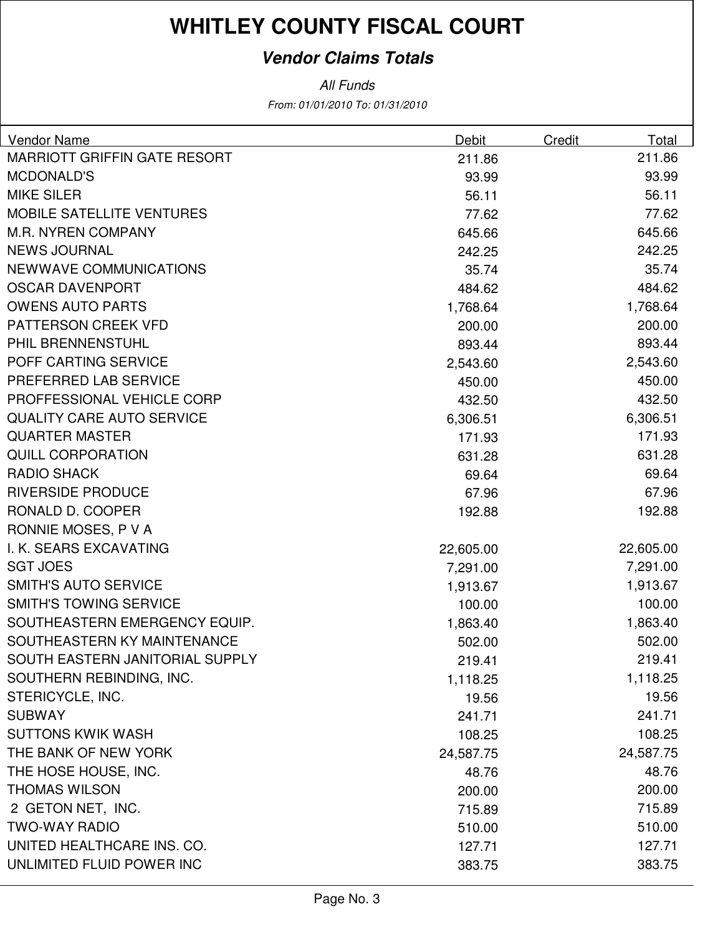### **Vendor Claims Totals**

| Vendor Name                         | Debit     | Credit | Total     |
|-------------------------------------|-----------|--------|-----------|
| <b>MARRIOTT GRIFFIN GATE RESORT</b> | 211.86    |        | 211.86    |
| <b>MCDONALD'S</b>                   | 93.99     |        | 93.99     |
| <b>MIKE SILER</b>                   | 56.11     |        | 56.11     |
| <b>MOBILE SATELLITE VENTURES</b>    | 77.62     |        | 77.62     |
| <b>M.R. NYREN COMPANY</b>           | 645.66    |        | 645.66    |
| <b>NEWS JOURNAL</b>                 | 242.25    |        | 242.25    |
| <b>NEWWAVE COMMUNICATIONS</b>       | 35.74     |        | 35.74     |
| <b>OSCAR DAVENPORT</b>              | 484.62    |        | 484.62    |
| <b>OWENS AUTO PARTS</b>             | 1,768.64  |        | 1,768.64  |
| PATTERSON CREEK VFD                 | 200.00    |        | 200.00    |
| PHIL BRENNENSTUHL                   | 893.44    |        | 893.44    |
| POFF CARTING SERVICE                | 2,543.60  |        | 2,543.60  |
| PREFERRED LAB SERVICE               | 450.00    |        | 450.00    |
| PROFFESSIONAL VEHICLE CORP          | 432.50    |        | 432.50    |
| <b>QUALITY CARE AUTO SERVICE</b>    | 6,306.51  |        | 6,306.51  |
| <b>QUARTER MASTER</b>               | 171.93    |        | 171.93    |
| <b>QUILL CORPORATION</b>            | 631.28    |        | 631.28    |
| <b>RADIO SHACK</b>                  | 69.64     |        | 69.64     |
| <b>RIVERSIDE PRODUCE</b>            | 67.96     |        | 67.96     |
| RONALD D. COOPER                    | 192.88    |        | 192.88    |
| RONNIE MOSES, P V A                 |           |        |           |
| I. K. SEARS EXCAVATING              | 22,605.00 |        | 22,605.00 |
| <b>SGT JOES</b>                     | 7,291.00  |        | 7,291.00  |
| <b>SMITH'S AUTO SERVICE</b>         | 1,913.67  |        | 1,913.67  |
| <b>SMITH'S TOWING SERVICE</b>       | 100.00    |        | 100.00    |
| SOUTHEASTERN EMERGENCY EQUIP.       | 1,863.40  |        | 1,863.40  |
| SOUTHEASTERN KY MAINTENANCE         | 502.00    |        | 502.00    |
| SOUTH EASTERN JANITORIAL SUPPLY     | 219.41    |        | 219.41    |
| SOUTHERN REBINDING, INC.            | 1,118.25  |        | 1,118.25  |
| STERICYCLE, INC.                    | 19.56     |        | 19.56     |
| <b>SUBWAY</b>                       | 241.71    |        | 241.71    |
| <b>SUTTONS KWIK WASH</b>            | 108.25    |        | 108.25    |
| THE BANK OF NEW YORK                | 24,587.75 |        | 24,587.75 |
| THE HOSE HOUSE, INC.                | 48.76     |        | 48.76     |
| <b>THOMAS WILSON</b>                | 200.00    |        | 200.00    |
| 2 GETON NET, INC.                   | 715.89    |        | 715.89    |
| <b>TWO-WAY RADIO</b>                | 510.00    |        | 510.00    |
| UNITED HEALTHCARE INS. CO.          | 127.71    |        | 127.71    |
| UNLIMITED FLUID POWER INC           | 383.75    |        | 383.75    |